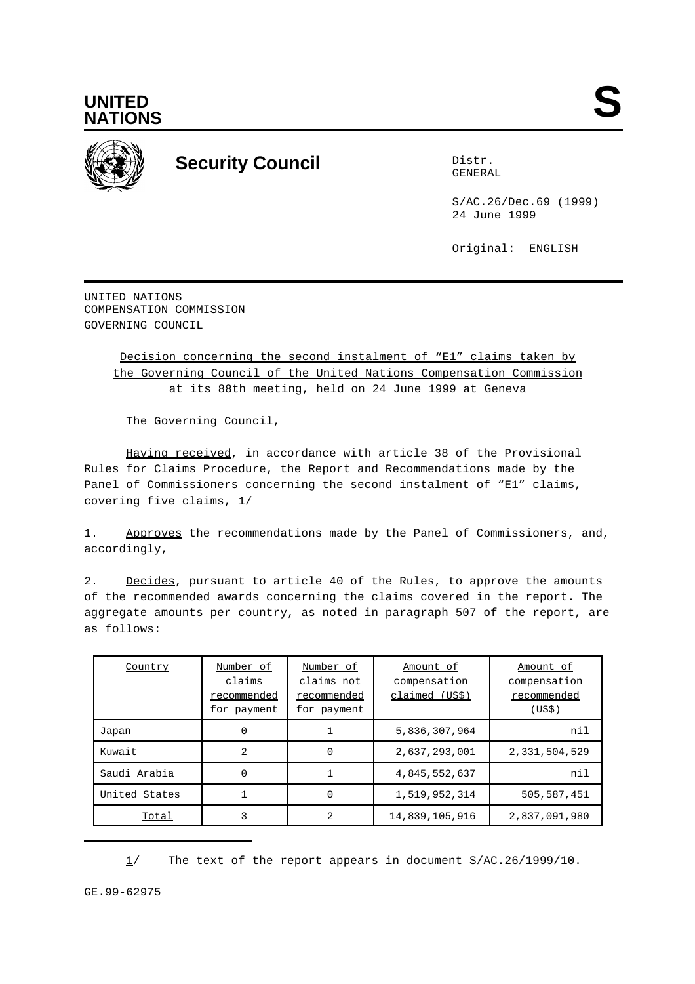

**UNITED**

## **Security Council** Distribution of the Distribution of the Distribution of the Distribution of the Distribution of the Distribution of the Distribution of the Distribution of the Distribution of the Distribution of the Dis

GENERAL

S/AC.26/Dec.69 (1999) 24 June 1999

Original: ENGLISH

UNITED NATIONS COMPENSATION COMMISSION GOVERNING COUNCIL

> Decision concerning the second instalment of "E1" claims taken by the Governing Council of the United Nations Compensation Commission at its 88th meeting, held on 24 June 1999 at Geneva

The Governing Council,

Having received, in accordance with article 38 of the Provisional Rules for Claims Procedure, the Report and Recommendations made by the Panel of Commissioners concerning the second instalment of "E1" claims, covering five claims,  $1/$ 

1. Approves the recommendations made by the Panel of Commissioners, and, accordingly,

2. Decides, pursuant to article 40 of the Rules, to approve the amounts of the recommended awards concerning the claims covered in the report. The aggregate amounts per country, as noted in paragraph 507 of the report, are as follows:

| Country       | Number of<br>claims<br>recommended<br>for payment | Number of<br>claims not<br>recommended<br>for payment | Amount of<br>compensation<br>claimed (US\$) | Amount of<br>compensation<br>recommended<br>(US\$) |
|---------------|---------------------------------------------------|-------------------------------------------------------|---------------------------------------------|----------------------------------------------------|
| Japan         | 0                                                 |                                                       | 5,836,307,964                               | nil                                                |
| Kuwait        | 2                                                 | 0                                                     | 2,637,293,001                               | 2,331,504,529                                      |
| Saudi Arabia  | 0                                                 |                                                       | 4,845,552,637                               | nil                                                |
| United States |                                                   | 0                                                     | 1,519,952,314                               | 505,587,451                                        |
| Total         | 3                                                 | $\mathcal{D}$                                         | 14,839,105,916                              | 2,837,091,980                                      |

1/ The text of the report appears in document S/AC.26/1999/10.

GE.99-62975